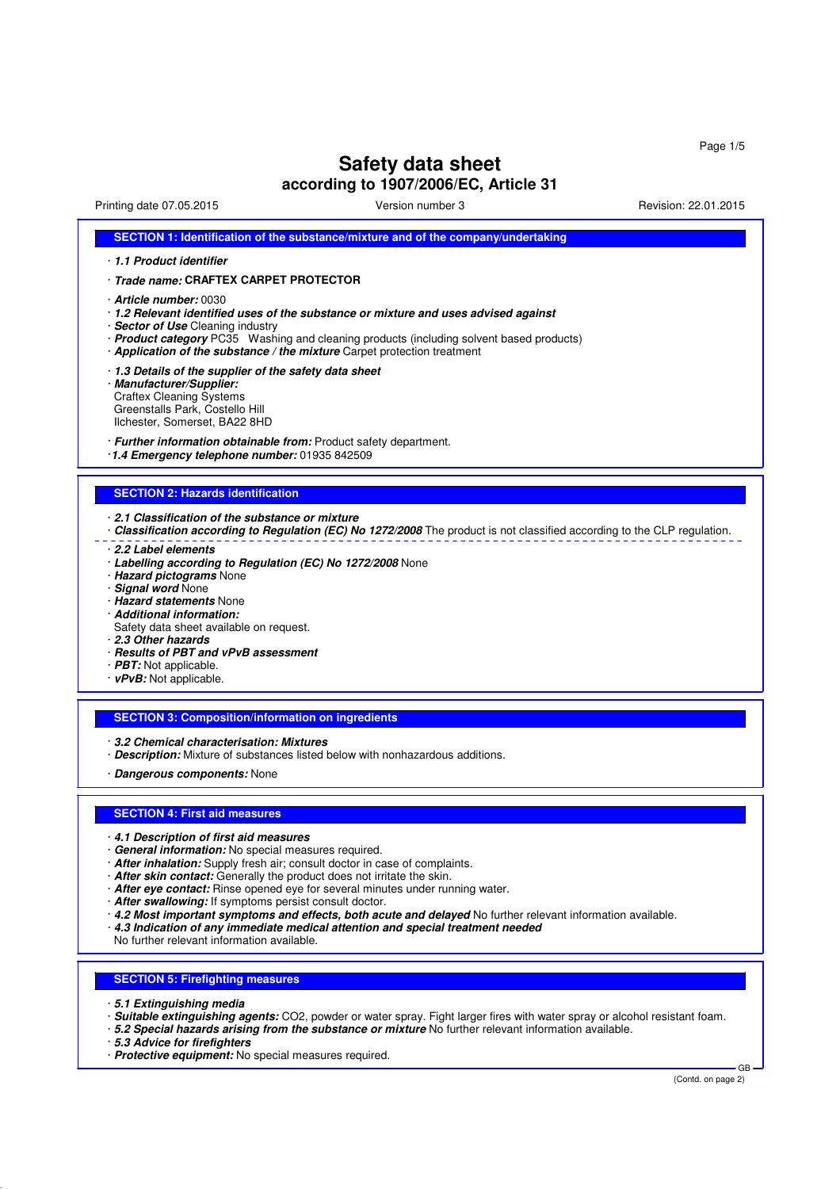# **Safety data sheet**

**according to 1907/2006/EC, Article 31**

Printing date 07.05.2015 Version number 3 Revision: 22.01.2015

|                                                                                                                           | SECTION 1: Identification of the substance/mixture and of the company/undertaking                                                                                                                                                                                                                                                                                                                                                                                                                                                                                                                                                                          |  |  |  |
|---------------------------------------------------------------------------------------------------------------------------|------------------------------------------------------------------------------------------------------------------------------------------------------------------------------------------------------------------------------------------------------------------------------------------------------------------------------------------------------------------------------------------------------------------------------------------------------------------------------------------------------------------------------------------------------------------------------------------------------------------------------------------------------------|--|--|--|
| · 1.1 Product identifier                                                                                                  |                                                                                                                                                                                                                                                                                                                                                                                                                                                                                                                                                                                                                                                            |  |  |  |
|                                                                                                                           | · Trade name: CRAFTEX CARPET PROTECTOR                                                                                                                                                                                                                                                                                                                                                                                                                                                                                                                                                                                                                     |  |  |  |
|                                                                                                                           | · <b>Article number:</b> 0030<br>· 1.2 Relevant identified uses of the substance or mixture and uses advised against<br>· Sector of Use Cleaning industry<br>· <b>Product category</b> PC35 Washing and cleaning products (including solvent based products)<br>· Application of the substance / the mixture Carpet protection treatment                                                                                                                                                                                                                                                                                                                   |  |  |  |
| · Manufacturer/Supplier:                                                                                                  | 1.3 Details of the supplier of the safety data sheet<br><b>Craftex Cleaning Systems</b><br>Greenstalls Park, Costello Hill<br>Ilchester, Somerset, BA22 8HD                                                                                                                                                                                                                                                                                                                                                                                                                                                                                                |  |  |  |
|                                                                                                                           | · Further information obtainable from: Product safety department.<br>1.4 Emergency telephone number: 01935 842509                                                                                                                                                                                                                                                                                                                                                                                                                                                                                                                                          |  |  |  |
|                                                                                                                           | <b>SECTION 2: Hazards identification</b>                                                                                                                                                                                                                                                                                                                                                                                                                                                                                                                                                                                                                   |  |  |  |
|                                                                                                                           | 2.1 Classification of the substance or mixture<br>Classification according to Regulation (EC) No 1272/2008 The product is not classified according to the CLP regulation.                                                                                                                                                                                                                                                                                                                                                                                                                                                                                  |  |  |  |
| · Signal word None<br>· Additional information:<br>2.3 Other hazards<br>· PBT: Not applicable.<br>· vPvB: Not applicable. | · Labelling according to Regulation (EC) No 1272/2008 None<br>· Hazard pictograms None<br>· Hazard statements None<br>Safety data sheet available on request.<br>· Results of PBT and vPvB assessment                                                                                                                                                                                                                                                                                                                                                                                                                                                      |  |  |  |
|                                                                                                                           | <b>SECTION 3: Composition/information on ingredients</b>                                                                                                                                                                                                                                                                                                                                                                                                                                                                                                                                                                                                   |  |  |  |
|                                                                                                                           | 3.2 Chemical characterisation: Mixtures<br>· Description: Mixture of substances listed below with nonhazardous additions.<br>· Dangerous components: None                                                                                                                                                                                                                                                                                                                                                                                                                                                                                                  |  |  |  |
|                                                                                                                           | <b>SECTION 4: First aid measures</b>                                                                                                                                                                                                                                                                                                                                                                                                                                                                                                                                                                                                                       |  |  |  |
|                                                                                                                           | 4.1 Description of first aid measures<br>General information: No special measures required.<br>· After inhalation: Supply fresh air; consult doctor in case of complaints.<br>· After skin contact: Generally the product does not irritate the skin.<br>· After eye contact: Rinse opened eye for several minutes under running water.<br>· After swallowing: If symptoms persist consult doctor.<br>· 4.2 Most important symptoms and effects, both acute and delayed No further relevant information available.<br>$\cdot$ 4.3 Indication of any immediate medical attention and special treatment needed<br>No further relevant information available. |  |  |  |
|                                                                                                                           | <b>SECTION 5: Firefighting measures</b>                                                                                                                                                                                                                                                                                                                                                                                                                                                                                                                                                                                                                    |  |  |  |
|                                                                                                                           |                                                                                                                                                                                                                                                                                                                                                                                                                                                                                                                                                                                                                                                            |  |  |  |
|                                                                                                                           | 5.1 Extinguishing media<br>· Suitable extinguishing agents: CO2, powder or water spray. Fight larger fires with water spray or alcohol resistant foam.<br>. 5.2 Special hazards arising from the substance or mixture No further relevant information available.<br>5.3 Advice for firefighters                                                                                                                                                                                                                                                                                                                                                            |  |  |  |

· **Protective equipment:** No special measures required.

GB<br>(Contd. on page 2)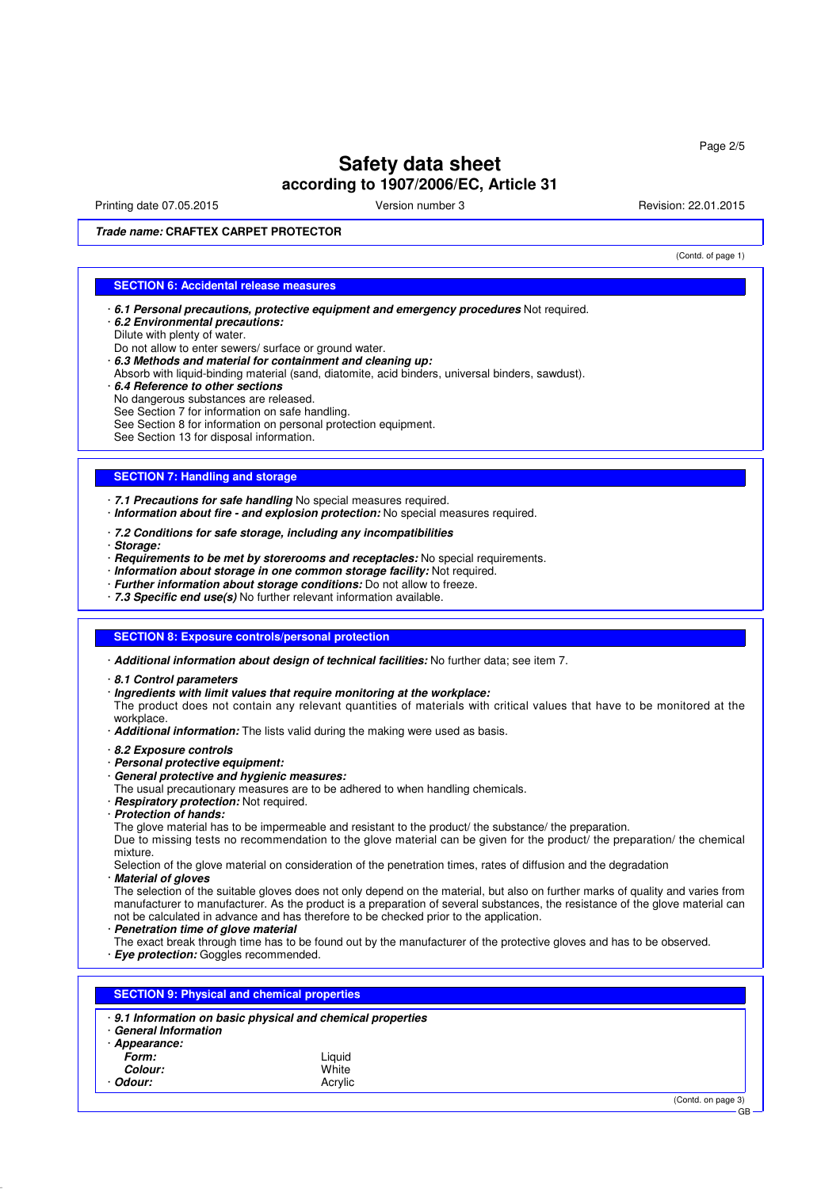Printing date 07.05.2015 **Principal and COVID-100** Version number 3 Revision: 22.01.2015

(Contd. of page 1)

**Trade name: CRAFTEX CARPET PROTECTOR**

### **SECTION 6: Accidental release measures**

- · **6.1 Personal precautions, protective equipment and emergency procedures** Not required.
- · **6.2 Environmental precautions:**
- Dilute with plenty of water.
- Do not allow to enter sewers/ surface or ground water.
- · **6.3 Methods and material for containment and cleaning up:**
- Absorb with liquid-binding material (sand, diatomite, acid binders, universal binders, sawdust).
- · **6.4 Reference to other sections**
- No dangerous substances are released.
- See Section 7 for information on safe handling.
- See Section 8 for information on personal protection equipment.
- See Section 13 for disposal information.

#### **SECTION 7: Handling and storage**

· **7.1 Precautions for safe handling** No special measures required.

- · **Information about fire and explosion protection:** No special measures required.
- · **7.2 Conditions for safe storage, including any incompatibilities**
- · **Storage:**
- · **Requirements to be met by storerooms and receptacles:** No special requirements.
- · **Information about storage in one common storage facility:** Not required.
- · **Further information about storage conditions:** Do not allow to freeze.
- · **7.3 Specific end use(s)** No further relevant information available.

#### **SECTION 8: Exposure controls/personal protection**

· **Additional information about design of technical facilities:** No further data; see item 7.

- · **8.1 Control parameters**
- · **Ingredients with limit values that require monitoring at the workplace:**
- The product does not contain any relevant quantities of materials with critical values that have to be monitored at the workplace.
- · **Additional information:** The lists valid during the making were used as basis.
- · **8.2 Exposure controls**
- · **Personal protective equipment:**
- · **General protective and hygienic measures:**
- The usual precautionary measures are to be adhered to when handling chemicals.
- · **Respiratory protection:** Not required.
- · **Protection of hands:**
- The glove material has to be impermeable and resistant to the product/ the substance/ the preparation.

Due to missing tests no recommendation to the glove material can be given for the product/ the preparation/ the chemical mixture.

Selection of the glove material on consideration of the penetration times, rates of diffusion and the degradation

· **Material of gloves**

The selection of the suitable gloves does not only depend on the material, but also on further marks of quality and varies from manufacturer to manufacturer. As the product is a preparation of several substances, the resistance of the glove material can not be calculated in advance and has therefore to be checked prior to the application.

· **Penetration time of glove material**

The exact break through time has to be found out by the manufacturer of the protective gloves and has to be observed. · **Eye protection:** Goggles recommended.

**SECTION 9: Physical and chemical properties** · **9.1 Information on basic physical and chemical properties** · **General Information**

· **Appearance:**

| Form:          | Liauid  |
|----------------|---------|
| <i>Colour:</i> | White   |
| · Odour:       | Acrylic |

(Contd. on page 3)

GB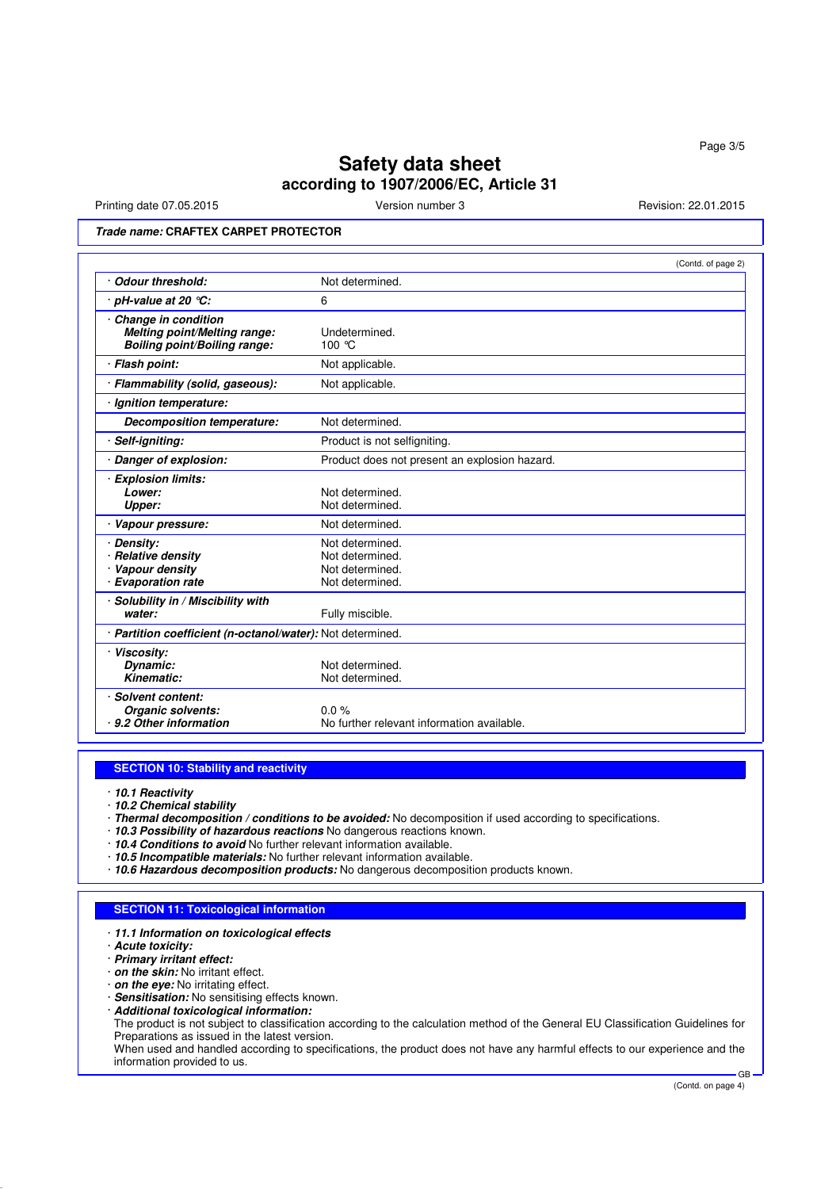Printing date 07.05.2015 **Version number 3** Version number 3 Revision: 22.01.2015

**Trade name: CRAFTEX CARPET PROTECTOR**

|                                                                                            | (Contd. of page 2)                                                       |
|--------------------------------------------------------------------------------------------|--------------------------------------------------------------------------|
| <b>Odour threshold:</b>                                                                    | Not determined.                                                          |
| · pH-value at 20 ℃:                                                                        | 6                                                                        |
| Change in condition<br>Melting point/Melting range:<br><b>Boiling point/Boiling range:</b> | Undetermined.<br>100 °C                                                  |
| · Flash point:                                                                             | Not applicable.                                                          |
| · Flammability (solid, gaseous):                                                           | Not applicable.                                                          |
| · Ignition temperature:                                                                    |                                                                          |
| <b>Decomposition temperature:</b>                                                          | Not determined.                                                          |
| Self-igniting:                                                                             | Product is not selfigniting.                                             |
| Danger of explosion:                                                                       | Product does not present an explosion hazard.                            |
| <b>Explosion limits:</b><br>Lower:<br><b>Upper:</b>                                        | Not determined.<br>Not determined.                                       |
| Vapour pressure:                                                                           | Not determined.                                                          |
| Density:<br>· Relative density<br>Vapour density<br>· Evaporation rate                     | Not determined.<br>Not determined.<br>Not determined.<br>Not determined. |
| Solubility in / Miscibility with<br>water:                                                 | Fully miscible.                                                          |
| · Partition coefficient (n-octanol/water): Not determined.                                 |                                                                          |
| <b>Viscosity:</b><br>Dynamic:<br>Kinematic:                                                | Not determined.<br>Not determined.                                       |
| Solvent content:<br>Organic solvents:<br>9.2 Other information                             | 0.0%<br>No further relevant information available.                       |

#### **SECTION 10: Stability and reactivity**

· **10.1 Reactivity**

· **10.2 Chemical stability**

- · **Thermal decomposition / conditions to be avoided:** No decomposition if used according to specifications.
- · **10.3 Possibility of hazardous reactions** No dangerous reactions known.

· **10.4 Conditions to avoid** No further relevant information available.

- · **10.5 Incompatible materials:** No further relevant information available.
- · **10.6 Hazardous decomposition products:** No dangerous decomposition products known.

## **SECTION 11: Toxicological information**

· **11.1 Information on toxicological effects**

· **Acute toxicity:**

· **Primary irritant effect:**

· **on the skin:** No irritant effect.

· **on the eye:** No irritating effect.

- · **Sensitisation:** No sensitising effects known.
- · **Additional toxicological information:**

The product is not subject to classification according to the calculation method of the General EU Classification Guidelines for Preparations as issued in the latest version.

When used and handled according to specifications, the product does not have any harmful effects to our experience and the information provided to us. GB

(Contd. on page 4)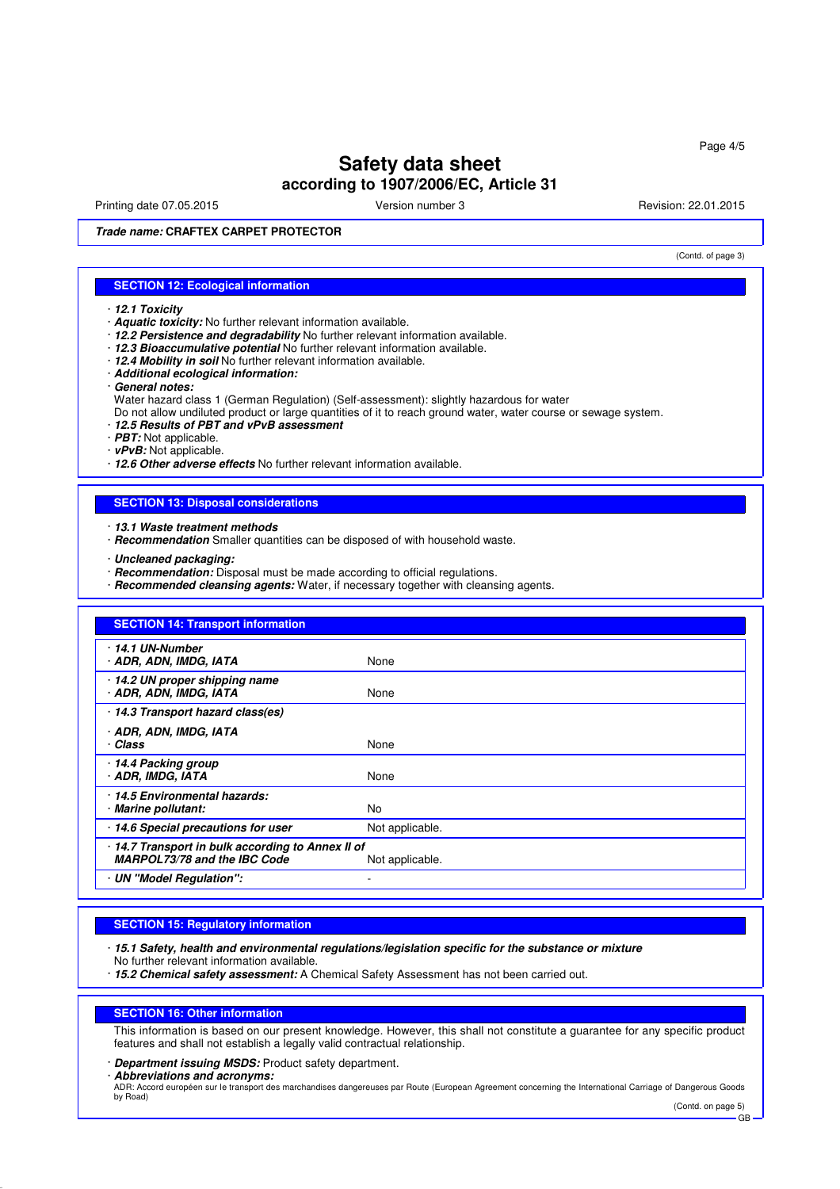Printing date 07.05.2015 **Version number 3** Revision: 22.01.2015 **Revision: 22.01.2015** 

(Contd. of page 3)

**Trade name: CRAFTEX CARPET PROTECTOR**

#### **SECTION 12: Ecological information**

- · **12.1 Toxicity**
- · **Aquatic toxicity:** No further relevant information available.
- · **12.2 Persistence and degradability** No further relevant information available.
- · **12.3 Bioaccumulative potential** No further relevant information available.
- · **12.4 Mobility in soil** No further relevant information available.
- · **Additional ecological information:**
- · **General notes:**
- Water hazard class 1 (German Regulation) (Self-assessment): slightly hazardous for water

Do not allow undiluted product or large quantities of it to reach ground water, water course or sewage system.

- · **12.5 Results of PBT and vPvB assessment**
- · **PBT:** Not applicable.
- · **vPvB:** Not applicable.

· **12.6 Other adverse effects** No further relevant information available.

## **SECTION 13: Disposal considerations**

- · **13.1 Waste treatment methods**
- · **Recommendation** Smaller quantities can be disposed of with household waste.
- · **Uncleaned packaging:**
- · **Recommendation:** Disposal must be made according to official regulations.
- · **Recommended cleansing agents:** Water, if necessary together with cleansing agents.

| <b>SECTION 14: Transport information</b>                                        |                 |
|---------------------------------------------------------------------------------|-----------------|
| 14.1 UN-Number<br>· ADR, ADN, IMDG, IATA                                        | None            |
| 14.2 UN proper shipping name<br>· ADR, ADN, IMDG, IATA                          | None            |
| 14.3 Transport hazard class(es)                                                 |                 |
| · ADR, ADN, IMDG, IATA<br>· Class                                               | None            |
| 14.4 Packing group<br>· ADR, IMDG, IATA                                         | None            |
| 14.5 Environmental hazards:<br>· Marine pollutant:                              | No              |
| 14.6 Special precautions for user                                               | Not applicable. |
| 14.7 Transport in bulk according to Annex II of<br>MARPOL73/78 and the IBC Code | Not applicable. |
| · UN "Model Regulation":                                                        |                 |

#### **SECTION 15: Regulatory information**

- · **15.1 Safety, health and environmental regulations/legislation specific for the substance or mixture** No further relevant information available.
- · **15.2 Chemical safety assessment:** A Chemical Safety Assessment has not been carried out.

#### **SECTION 16: Other information**

This information is based on our present knowledge. However, this shall not constitute a guarantee for any specific product features and shall not establish a legally valid contractual relationship.

· **Department issuing MSDS:** Product safety department.

· **Abbreviations and acronyms:**

ADR: Accord européen sur le transport des marchandises dangereuses par Route (European Agreement concerning the International Carriage of Dangerous Goods by Road) (Contd. on page 5)